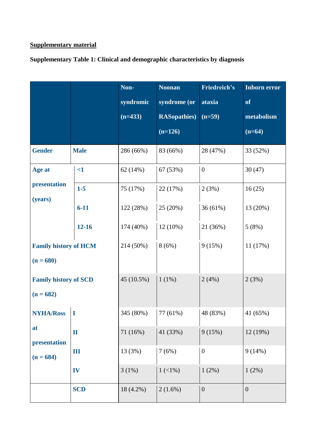## **Supplementary material**

**Supplementary Table 1: Clinical and demographic characteristics by diagnosis**

|                                                       |              | Non-       | <b>Noonan</b>        | Friedreich's     | <b>Inborn error</b> |
|-------------------------------------------------------|--------------|------------|----------------------|------------------|---------------------|
|                                                       |              | syndromic  | syndrome (or         | ataxia           | <b>of</b>           |
|                                                       |              | $(n=433)$  | <b>RASopathies</b> ) | $(n=59)$         | metabolism          |
|                                                       |              |            | $(n=126)$            |                  | $(n=64)$            |
| <b>Gender</b>                                         | <b>Male</b>  | 286 (66%)  | 83 (66%)             | 28 (47%)         | 33 (52%)            |
| Age at<br>presentation<br>(years)                     | $\leq$ 1     | 62 (14%)   | 67 (53%)             | $\boldsymbol{0}$ | 30(47)              |
|                                                       | $1-5$        | 75 (17%)   | 22 (17%)             | 2(3%)            | 16(25)              |
|                                                       | $6 - 11$     | 122 (28%)  | 25 (20%)             | 36(61%)          | 13 (20%)            |
|                                                       | $12 - 16$    | 174 (40%)  | $12(10\%)$           | 21 (36%)         | 5(8%)               |
| <b>Family history of HCM</b><br>$(n = 680)$           |              | 214 (50%)  | 8(6%)                | 9(15%)           | 11(17%)             |
| <b>Family history of SCD</b><br>$(n = 682)$           |              | 45 (10.5%) | $1(1\%)$             | 2(4%)            | 2(3%)               |
| <b>NYHA/Ross</b><br>at<br>presentation<br>$(n = 684)$ | I            | 345 (80%)  | 77 (61%)             | 48 (83%)         | 41 (65%)            |
|                                                       | $\mathbf{I}$ | 71 (16%)   | 41 (33%)             | 9(15%)           | 12 (19%)            |
|                                                       | Ш            | 13 (3%)    | 7(6%)                | $\boldsymbol{0}$ | 9(14%)              |
|                                                       | IV           | 3(1%)      | $1(1\%)$             | 1(2%)            | $1(2\%)$            |
|                                                       | <b>SCD</b>   | 18 (4.2%)  | $2(1.6\%)$           | $\boldsymbol{0}$ | $\boldsymbol{0}$    |